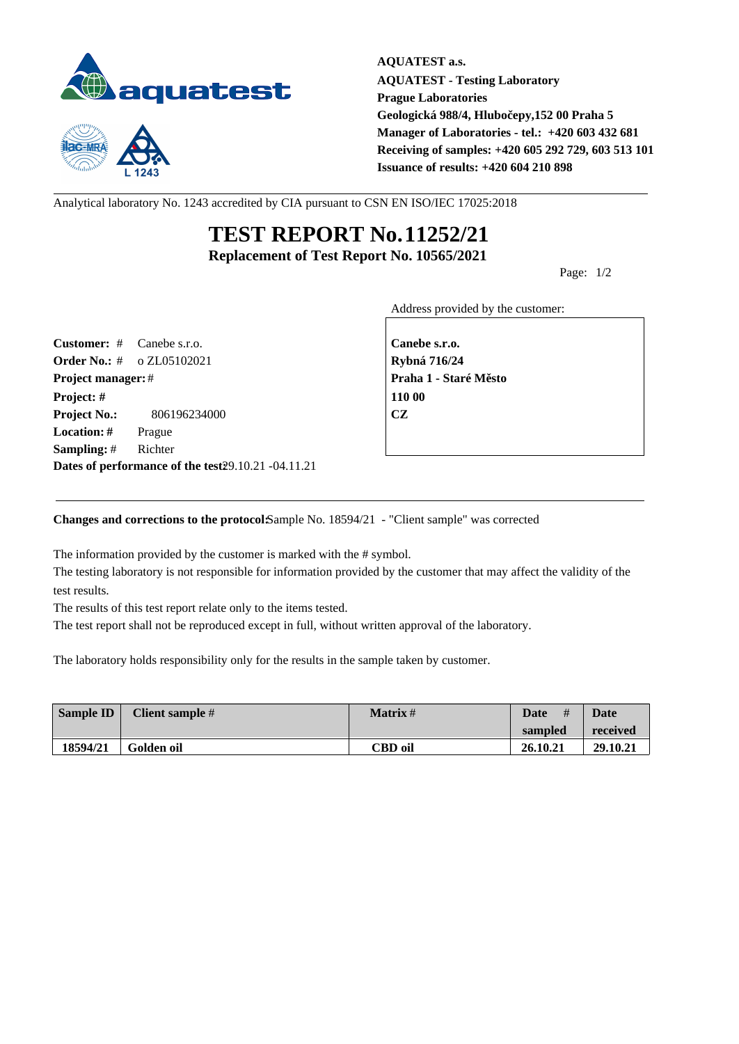



**AQUATEST a.s. AQUATEST - Testing Laboratory Prague Laboratories Geologická 988/4, Hlubočepy,152 00 Praha 5 Manager of Laboratories - tel.: +420 603 432 681 Receiving of samples: +420 605 292 729, 603 513 101 Issuance of results: +420 604 210 898**

Analytical laboratory No. 1243 accredited by CIA pursuant to CSN EN ISO/IEC 17025:2018

## **TEST REPORT No.11252/21 Replacement of Test Report No. 10565/2021**

Page: 1/2

Address provided by the customer:

**Customer:** # Canebe s.r.o. **Canebe s.r.o. Order No.:** # o ZL05102021 **Rybná 716/24 Project manager:** # **Praha 1 - Staré M** sto **Project: # 110 00 Project No.:** 806196234000 **CZ Location: #** Prague **Sampling:** # Richter **Dates of performance of the test:**29.10.21 -04.11.21

**Changes and corrections to the protocol: Sample No. 18594/21 - "Client sample" was corrected** 

The information provided by the customer is marked with the # symbol.

The testing laboratory is not responsible for information provided by the customer that may affect the validity of the test results.

The results of this test report relate only to the items tested.

The test report shall not be reproduced except in full, without written approval of the laboratory.

The laboratory holds responsibility only for the results in the sample taken by customer.

| Sample ID | Client sample # | <b>Matrix</b> # | #<br><b>Date</b> | Date     |
|-----------|-----------------|-----------------|------------------|----------|
|           |                 |                 | sampled          | received |
| 18594/21  | Golden oil      | <b>CBD</b> oil  | 26.10.21         | 29.10.21 |